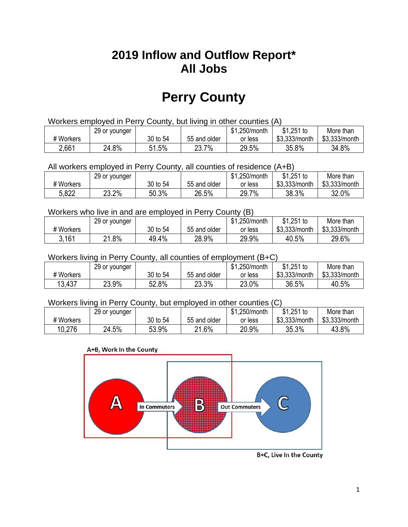## **2019 Inflow and Outflow Report\* All Jobs**

# **Perry County**

| Workers employed in Perry County, but living in other counties (A) |                                                            |          |              |         |               |               |  |  |  |
|--------------------------------------------------------------------|------------------------------------------------------------|----------|--------------|---------|---------------|---------------|--|--|--|
|                                                                    | $$1,251$ to<br>\$1,250/month<br>29 or younger<br>More than |          |              |         |               |               |  |  |  |
| # Workers                                                          |                                                            | 30 to 54 | 55 and older | or less | \$3.333/month | \$3,333/month |  |  |  |
| 2,661                                                              | 24.8%                                                      | 51.5%    | 23.7%        | 29.5%   | 35.8%         | 34.8%         |  |  |  |

All workers employed in Perry County, all counties of residence (A+B)

|           | 29 or younger |          |              | \$1,250/month | $$1,251$ to   | More than     |
|-----------|---------------|----------|--------------|---------------|---------------|---------------|
| # Workers |               | 30 to 54 | 55 and older | or less       | \$3,333/month | \$3,333/month |
| 5,822     | 23.2%         | 50.3%    | 26.5%        | 29.7%         | 38.3%         | 32.0%         |

#### Workers who live in and are employed in Perry County (B)

|           | 29 or younger    |          |              | \$1,250/month | $$1,251$ to   | More than     |
|-----------|------------------|----------|--------------|---------------|---------------|---------------|
| # Workers |                  | 30 to 54 | 55 and older | or less       | \$3,333/month | \$3,333/month |
| 3,161     | .8%<br><b>04</b> | 49.4%    | 28.9%        | 29.9%         | 40.5%         | 29.6%         |

#### Workers living in Perry County, all counties of employment (B+C)

|           | 29 or younger |          |              | \$1,250/month | \$1,251 to    | More than     |
|-----------|---------------|----------|--------------|---------------|---------------|---------------|
| # Workers |               | 30 to 54 | 55 and older | or less       | \$3,333/month | \$3,333/month |
| 13,437    | 23.9%         | 52.8%    | 23.3%        | 23.0%         | 36.5%         | 40.5%         |

#### Workers living in Perry County, but employed in other counties (C)

|           | 29 or younger |          |              | \$1,250/month | $$1,251$ to   | More than     |
|-----------|---------------|----------|--------------|---------------|---------------|---------------|
| # Workers |               | 30 to 54 | 55 and older | or less       | \$3,333/month | \$3,333/month |
| 10,276    | 24.5%         | 53.9%    | 21.6%        | 20.9%         | 35.3%         | 43.8%         |

#### A+B, Work In the County